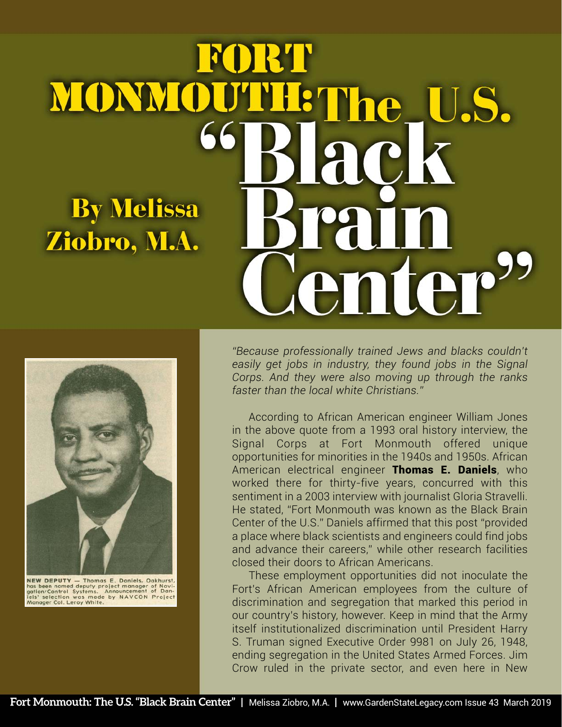## FORT MONMOUTHE The U.S. ack **By Melissa** Ziobro, M.A. enter"



NEW DEPUTY — Thomas E. Daniels, Oakhurst,<br>has been named deputy project manager of Navi-<br>gation/Control Systems. Announcement of Dan-<br>jels' selection was made by NAVCON Project<br>Manager Col. Leroy White.

*"Because professionally trained Jews and blacks couldn't easily get jobs in industry, they found jobs in the Signal Corps. And they were also moving up through the ranks faster than the local white Christians."*

According to African American engineer William Jones in the above quote from a 1993 oral history interview, the Signal Corps at Fort Monmouth offered unique opportunities for minorities in the 1940s and 1950s. African American electrical engineer Thomas E. Daniels, who worked there for thirty-five years, concurred with this sentiment in a 2003 interview with journalist Gloria Stravelli. He stated, "Fort Monmouth was known as the Black Brain Center of the U.S." Daniels affirmed that this post "provided a place where black scientists and engineers could find jobs and advance their careers," while other research facilities closed their doors to African Americans.

These employment opportunities did not inoculate the Fort's African American employees from the culture of discrimination and segregation that marked this period in our country's history, however. Keep in mind that the Army itself institutionalized discrimination until President Harry S. Truman signed Executive Order 9981 on July 26, 1948, ending segregation in the United States Armed Forces. Jim Crow ruled in the private sector, and even here in New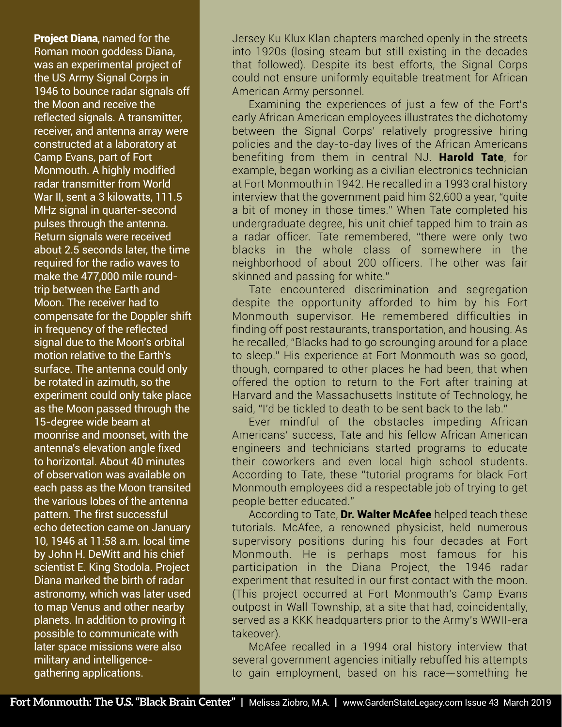Project Diana, named for the Roman moon goddess Diana, was an experimental project of the US Army Signal Corps in 1946 to bounce radar signals off the Moon and receive the reflected signals. A transmitter, receiver, and antenna array were constructed at a laboratory at Camp Evans, part of Fort Monmouth. A highly modified radar transmitter from World War II, sent a 3 kilowatts, 111.5 MHz signal in quarter-second pulses through the antenna. Return signals were received about 2.5 seconds later, the time required for the radio waves to make the 477,000 mile roundtrip between the Earth and Moon. The receiver had to compensate for the Doppler shift in frequency of the reflected signal due to the Moon's orbital motion relative to the Earth's surface. The antenna could only be rotated in azimuth, so the experiment could only take place as the Moon passed through the 15-degree wide beam at moonrise and moonset, with the antenna's elevation angle fixed to horizontal. About 40 minutes of observation was available on each pass as the Moon transited the various lobes of the antenna pattern. The first successful echo detection came on January 10, 1946 at 11:58 a.m. local time by John H. DeWitt and his chief scientist E. King Stodola. Project Diana marked the birth of radar astronomy, which was later used to map Venus and other nearby planets. In addition to proving it possible to communicate with later space missions were also military and intelligencegathering applications.

Jersey Ku Klux Klan chapters marched openly in the streets into 1920s (losing steam but still existing in the decades that followed). Despite its best efforts, the Signal Corps could not ensure uniformly equitable treatment for African American Army personnel.

Examining the experiences of just a few of the Fort's early African American employees illustrates the dichotomy between the Signal Corps' relatively progressive hiring policies and the day-to-day lives of the African Americans benefiting from them in central NJ. **Harold Tate**, for example, began working as a civilian electronics technician at Fort Monmouth in 1942. He recalled in a 1993 oral history interview that the government paid him \$2,600 a year, "quite a bit of money in those times." When Tate completed his undergraduate degree, his unit chief tapped him to train as a radar officer. Tate remembered, "there were only two blacks in the whole class of somewhere in the neighborhood of about 200 officers. The other was fair skinned and passing for white."

Tate encountered discrimination and segregation despite the opportunity afforded to him by his Fort Monmouth supervisor. He remembered difficulties in finding off post restaurants, transportation, and housing. As he recalled, "Blacks had to go scrounging around for a place to sleep." His experience at Fort Monmouth was so good, though, compared to other places he had been, that when offered the option to return to the Fort after training at Harvard and the Massachusetts Institute of Technology, he said, "I'd be tickled to death to be sent back to the lab."

Ever mindful of the obstacles impeding African Americans' success, Tate and his fellow African American engineers and technicians started programs to educate their coworkers and even local high school students. According to Tate, these "tutorial programs for black Fort Monmouth employees did a respectable job of trying to get people better educated."

According to Tate, Dr. Walter McAfee helped teach these tutorials. McAfee, a renowned physicist, held numerous supervisory positions during his four decades at Fort Monmouth. He is perhaps most famous for his participation in the Diana Project, the 1946 radar experiment that resulted in our first contact with the moon. (This project occurred at Fort Monmouth's Camp Evans outpost in Wall Township, at a site that had, coincidentally, served as a KKK headquarters prior to the Army's WWII-era takeover).

McAfee recalled in a 1994 oral history interview that several government agencies initially rebuffed his attempts to gain employment, based on his race-something he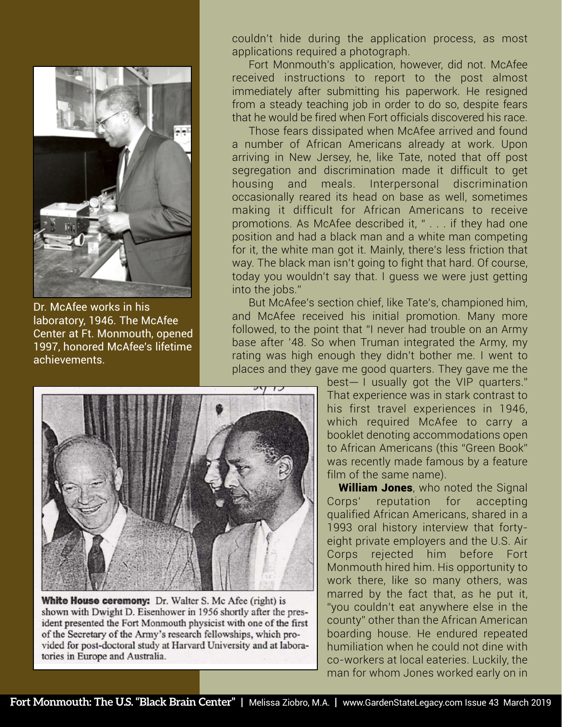

Dr. McAfee works in his laboratory, 1946. The McAfee Center at Ft. Monmouth, opened 1997, honored McAfee's lifetime achievements.

couldn't hide during the application process, as most applications required a photograph.

Fort Monmouth's application, however, did not. McAfee received instructions to report to the post almost immediately after submitting his paperwork. He resigned from a steady teaching job in order to do so, despite fears that he would be fired when Fort officials discovered his race.

Those fears dissipated when McAfee arrived and found a number of African Americans already at work. Upon arriving in New Jersey, he, like Tate, noted that off post segregation and discrimination made it difficult to get housing and meals. Interpersonal discrimination occasionally reared its head on base as well, sometimes making it difficult for African Americans to receive promotions. As McAfee described it, " . . . if they had one position and had a black man and a white man competing for it, the white man got it. Mainly, there's less friction that way. The black man isn't going to fight that hard. Of course, today you wouldn't say that. I guess we were just getting into the jobs."

But McAfee's section chief, like Tate's, championed him, and McAfee received his initial promotion. Many more followed, to the point that "I never had trouble on an Army base after '48. So when Truman integrated the Army, my rating was high enough they didn't bother me. I went to places and they gave me good quarters. They gave me the



White House ceremony: Dr. Walter S. Mc Afee (right) is shown with Dwight D. Eisenhower in 1956 shortly after the president presented the Fort Monmouth physicist with one of the first of the Secretary of the Army's research fellowships, which provided for post-doctoral study at Harvard University and at laboratories in Europe and Australia.

 $best-1$  usually got the VIP quarters." That experience was in stark contrast to his first travel experiences in 1946, which required McAfee to carry a booklet denoting accommodations open to African Americans (this "Green Book" was recently made famous by a feature film of the same name).

**William Jones**, who noted the Signal Corps' reputation for accepting qualified African Americans, shared in a 1993 oral history interview that fortyeight private employers and the U.S. Air Corps rejected him before Fort Monmouth hired him. His opportunity to work there, like so many others, was marred by the fact that, as he put it, "you couldn't eat anywhere else in the county" other than the African American boarding house. He endured repeated humiliation when he could not dine with co-workers at local eateries. Luckily, the man for whom Jones worked early on in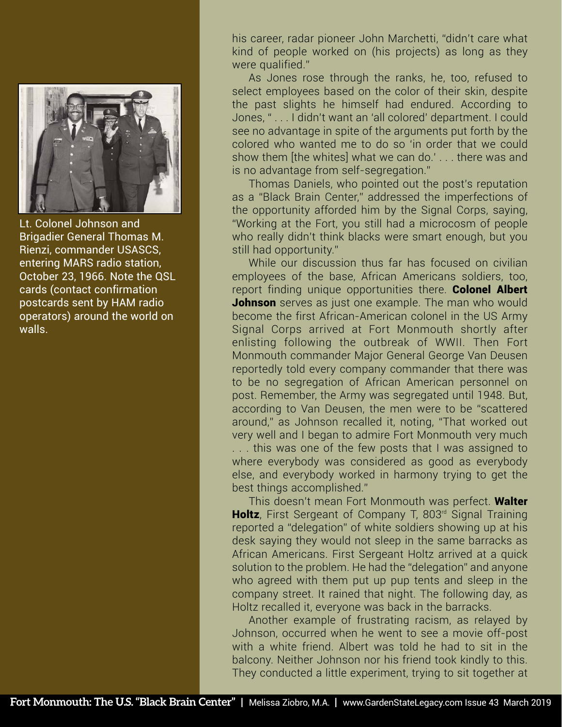

Lt. Colonel Johnson and Brigadier General Thomas M. Rienzi, commander USASCS, entering MARS radio station, October 23, 1966. Note the QSL cards (contact confirmation postcards sent by HAM radio operators) around the world on walls.

his career, radar pioneer John Marchetti, "didn't care what kind of people worked on (his projects) as long as they were qualified."

As Jones rose through the ranks, he, too, refused to select employees based on the color of their skin, despite the past slights he himself had endured. According to Jones, " . . . I didn't want an 'all colored' department. I could see no advantage in spite of the arguments put forth by the colored who wanted me to do so 'in order that we could show them [the whites] what we can do.' . . . there was and is no advantage from self-segregation."

Thomas Daniels, who pointed out the post's reputation as a "Black Brain Center," addressed the imperfections of the opportunity afforded him by the Signal Corps, saying, "Working at the Fort, you still had a microcosm of people who really didn't think blacks were smart enough, but you still had opportunity."

While our discussion thus far has focused on civilian employees of the base, African Americans soldiers, too, report finding unique opportunities there. **Colonel Albert** Johnson serves as just one example. The man who would become the first African-American colonel in the US Army Signal Corps arrived at Fort Monmouth shortly after enlisting following the outbreak of WWII. Then Fort Monmouth commander Major General George Van Deusen reportedly told every company commander that there was to be no segregation of African American personnel on post. Remember, the Army was segregated until 1948. But, according to Van Deusen, the men were to be "scattered around," as Johnson recalled it, noting, "That worked out very well and I began to admire Fort Monmouth very much . . . this was one of the few posts that I was assigned to where everybody was considered as good as everybody else, and everybody worked in harmony trying to get the best things accomplished."

This doesn't mean Fort Monmouth was perfect. Walter Holtz, First Sergeant of Company T, 803<sup>rd</sup> Signal Training reported a "delegation" of white soldiers showing up at his desk saying they would not sleep in the same barracks as African Americans. First Sergeant Holtz arrived at a quick solution to the problem. He had the "delegation" and anyone who agreed with them put up pup tents and sleep in the company street. It rained that night. The following day, as Holtz recalled it, everyone was back in the barracks.

Another example of frustrating racism, as relayed by Johnson, occurred when he went to see a movie off-post with a white friend. Albert was told he had to sit in the balcony. Neither Johnson nor his friend took kindly to this. They conducted a little experiment, trying to sit together at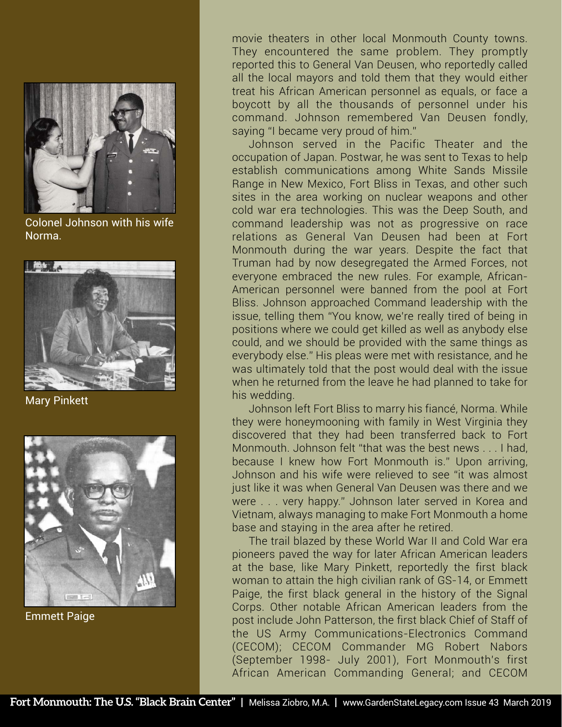

Colonel Johnson with his wife Norma.



Mary Pinkett



Emmett Paige

movie theaters in other local Monmouth County towns. They encountered the same problem. They promptly reported this to General Van Deusen, who reportedly called all the local mayors and told them that they would either treat his African American personnel as equals, or face a boycott by all the thousands of personnel under his command. Johnson remembered Van Deusen fondly, saying "I became very proud of him."

Johnson served in the Pacific Theater and the occupation of Japan. Postwar, he was sent to Texas to help establish communications among White Sands Missile Range in New Mexico, Fort Bliss in Texas, and other such sites in the area working on nuclear weapons and other cold war era technologies. This was the Deep South, and command leadership was not as progressive on race relations as General Van Deusen had been at Fort Monmouth during the war years. Despite the fact that Truman had by now desegregated the Armed Forces, not everyone embraced the new rules. For example, African-American personnel were banned from the pool at Fort Bliss. Johnson approached Command leadership with the issue, telling them "You know, we're really tired of being in positions where we could get killed as well as anybody else could, and we should be provided with the same things as everybody else." His pleas were met with resistance, and he was ultimately told that the post would deal with the issue when he returned from the leave he had planned to take for his wedding.

Johnson left Fort Bliss to marry his fiancé, Norma. While they were honeymooning with family in West Virginia they discovered that they had been transferred back to Fort Monmouth. Johnson felt "that was the best news . . . I had, because I knew how Fort Monmouth is." Upon arriving, Johnson and his wife were relieved to see "it was almost just like it was when General Van Deusen was there and we were . . . very happy." Johnson later served in Korea and Vietnam, always managing to make Fort Monmouth a home base and staying in the area after he retired.

The trail blazed by these World War II and Cold War era pioneers paved the way for later African American leaders at the base, like Mary Pinkett, reportedly the first black woman to attain the high civilian rank of GS-14, or Emmett Paige, the first black general in the history of the Signal Corps. Other notable African American leaders from the post include John Patterson, the first black Chief of Staff of the US Army Communications-Electronics Command (CECOM); CECOM Commander MG Robert Nabors (September 1998- July 2001), Fort Monmouth's first African American Commanding General; and CECOM